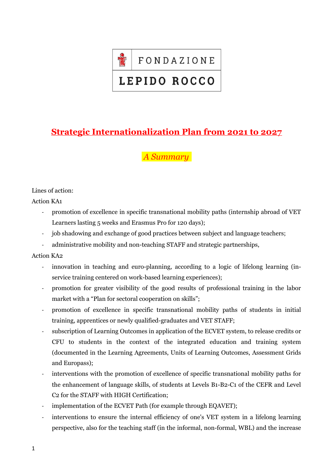

## **Strategic Internationalization Plan from 2021 to 2027**

## *A Summary*

## Lines of action:

Action KA1

- promotion of excellence in specific transnational mobility paths (internship abroad of VET Learners lasting 5 weeks and Erasmus Pro for 120 days);
- job shadowing and exchange of good practices between subject and language teachers;
- administrative mobility and non-teaching STAFF and strategic partnerships,

## Action KA2

- innovation in teaching and euro-planning, according to a logic of lifelong learning (inservice training centered on work-based learning experiences);
- promotion for greater visibility of the good results of professional training in the labor market with a "Plan for sectoral cooperation on skills";
- promotion of excellence in specific transnational mobility paths of students in initial training, apprentices or newly qualified-graduates and VET STAFF;
- subscription of Learning Outcomes in application of the ECVET system, to release credits or CFU to students in the context of the integrated education and training system (documented in the Learning Agreements, Units of Learning Outcomes, Assessment Grids and Europass);
- interventions with the promotion of excellence of specific transnational mobility paths for the enhancement of language skills, of students at Levels B1-B2-C1 of the CEFR and Level C2 for the STAFF with HIGH Certification;
- implementation of the ECVET Path (for example through EQAVET);
- interventions to ensure the internal efficiency of one's VET system in a lifelong learning perspective, also for the teaching staff (in the informal, non-formal, WBL) and the increase